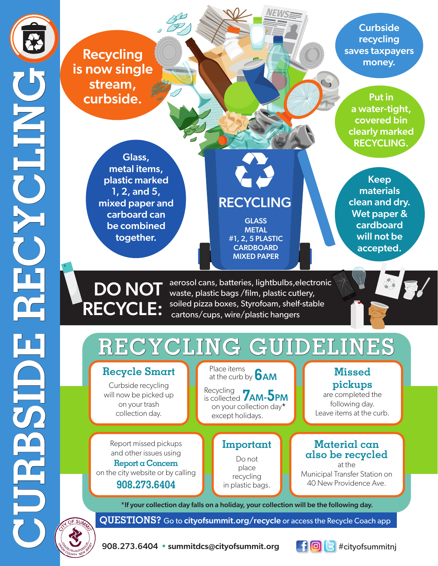**Curbside** recycling saves taxpayers money.

Put in a water-tight, covered bin clearly marked RECYCLING.

**Recycling** is now single stream, curbside.

> Glass, metal items, plastic marked 1, 2, and 5, mixed paper and carboard can be combined together.

# RECYCLING

**GLASS METAL** #1, 2, 5 PLASTIC **CARDBOARD** MIXED PAPER

Keep materials clean and dry. Wet paper & cardboard will not be accepted.



aerosol cans, batteries, lightbulbs,electronic waste, plastic bags /film, plastic cutlery, soiled pizza boxes, Styrofoam, shelf-stable cartons/cups, wire/plastic hangers



## **RECYCLING GUIDELINES**

## **Recycle Smart**

Curbside recycling will now be picked up on your trash collection day.

Report missed pickups and other issues using **Report a Concern**  on the city website or by calling

**908.273.6404**

Place items<br>at the curb by **6 AM** Place items

Recycling **7AM-5PM** is collected on your collection day\* except holidays.

> **Important** Do not place recycling in plastic bags.

### **Missed pickups**

are completed the following day. Leave items at the curb.

#### **Material can also be recycled**

at the Municipal Transfer Station on 40 New Providence Ave.

\*If your collection day falls on a holiday, your collection will be the following day.

**QUESTIONS?** Go to cityofsummit.org/recycle or access the Recycle Coach app

908.273.6404 • summitdcs@cityofsummit.org